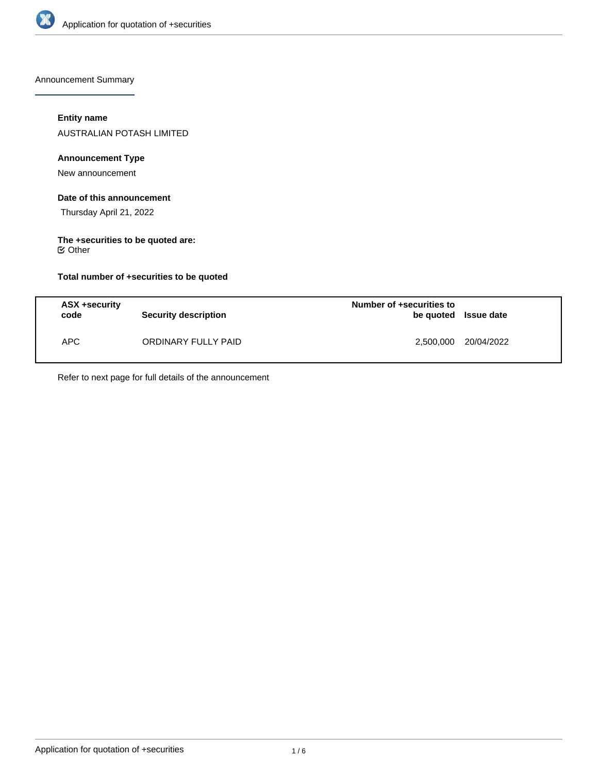

Announcement Summary

## **Entity name**

AUSTRALIAN POTASH LIMITED

## **Announcement Type**

New announcement

### **Date of this announcement**

Thursday April 21, 2022

### **The +securities to be quoted are:** Other

**Total number of +securities to be quoted**

| ASX +security<br>code | Security description | Number of +securities to<br>be quoted Issue date |            |
|-----------------------|----------------------|--------------------------------------------------|------------|
| APC.                  | ORDINARY FULLY PAID  | 2,500,000                                        | 20/04/2022 |

Refer to next page for full details of the announcement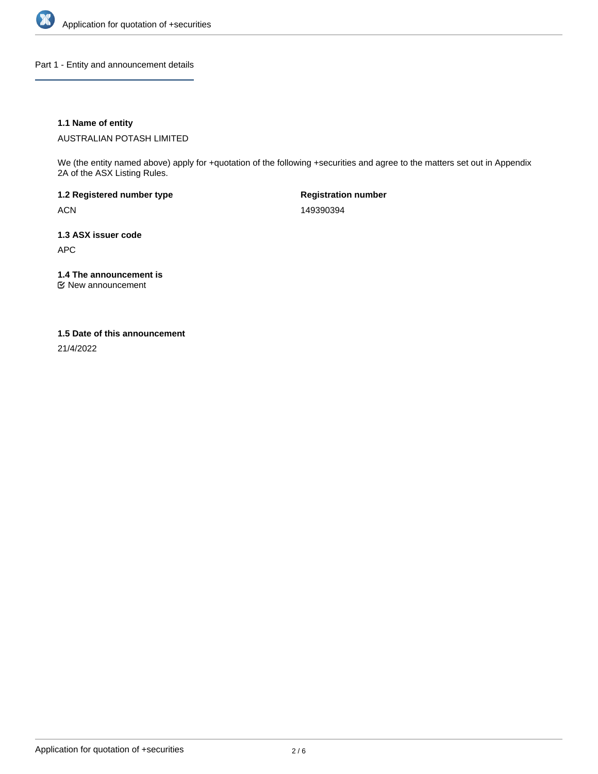

Part 1 - Entity and announcement details

## **1.1 Name of entity**

AUSTRALIAN POTASH LIMITED

We (the entity named above) apply for +quotation of the following +securities and agree to the matters set out in Appendix 2A of the ASX Listing Rules.

**1.2 Registered number type** ACN

**Registration number** 149390394

**1.3 ASX issuer code** APC

**1.4 The announcement is**

New announcement

## **1.5 Date of this announcement**

21/4/2022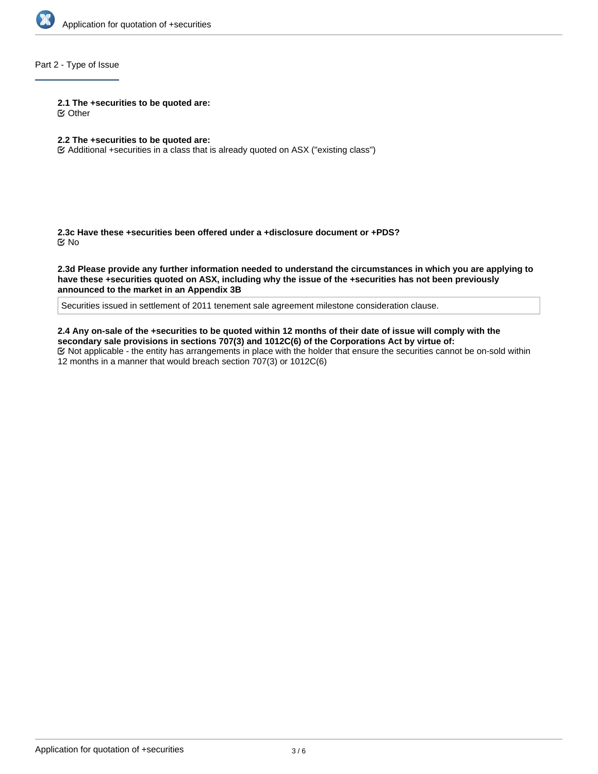

# Part 2 - Type of Issue

**2.1 The +securities to be quoted are:**

Other

# **2.2 The +securities to be quoted are:**

Additional +securities in a class that is already quoted on ASX ("existing class")

**2.3c Have these +securities been offered under a +disclosure document or +PDS?** No

**2.3d Please provide any further information needed to understand the circumstances in which you are applying to have these +securities quoted on ASX, including why the issue of the +securities has not been previously announced to the market in an Appendix 3B**

Securities issued in settlement of 2011 tenement sale agreement milestone consideration clause.

**2.4 Any on-sale of the +securities to be quoted within 12 months of their date of issue will comply with the secondary sale provisions in sections 707(3) and 1012C(6) of the Corporations Act by virtue of:** Not applicable - the entity has arrangements in place with the holder that ensure the securities cannot be on-sold within 12 months in a manner that would breach section 707(3) or 1012C(6)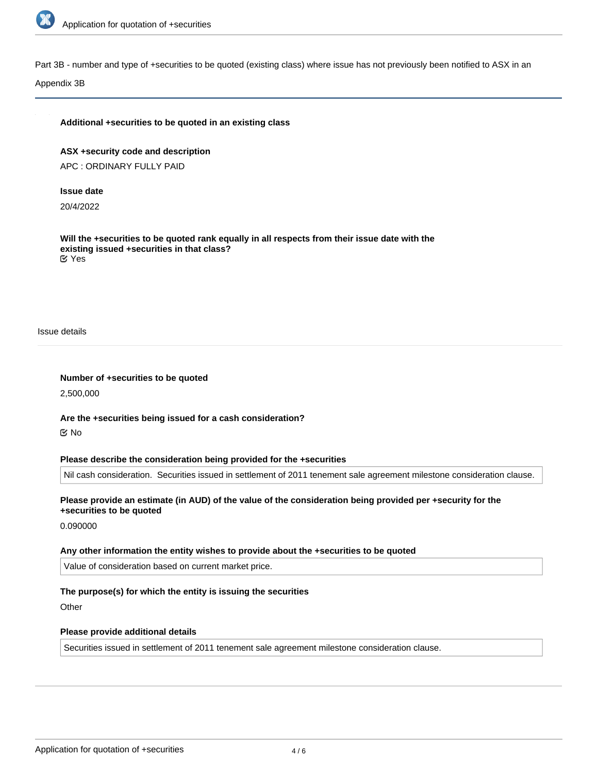

Part 3B - number and type of +securities to be quoted (existing class) where issue has not previously been notified to ASX in an

Appendix 3B

### **Additional +securities to be quoted in an existing class**

**ASX +security code and description** APC : ORDINARY FULLY PAID

#### **Issue date**

20/4/2022

**Will the +securities to be quoted rank equally in all respects from their issue date with the existing issued +securities in that class?** Yes

Issue details

**Number of +securities to be quoted**

2,500,000

**Are the +securities being issued for a cash consideration?** No

#### **Please describe the consideration being provided for the +securities**

Nil cash consideration. Securities issued in settlement of 2011 tenement sale agreement milestone consideration clause.

## **Please provide an estimate (in AUD) of the value of the consideration being provided per +security for the +securities to be quoted**

0.090000

# **Any other information the entity wishes to provide about the +securities to be quoted**

Value of consideration based on current market price.

# **The purpose(s) for which the entity is issuing the securities**

**Other** 

#### **Please provide additional details**

Securities issued in settlement of 2011 tenement sale agreement milestone consideration clause.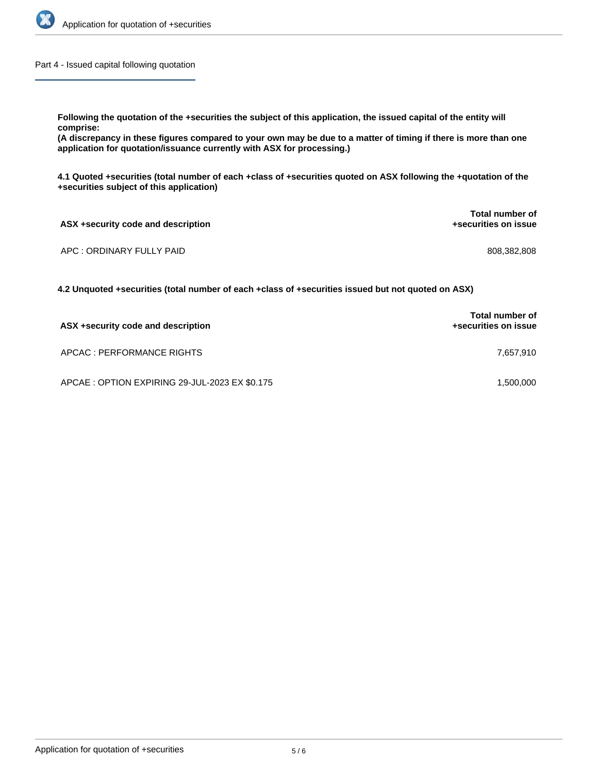

Part 4 - Issued capital following quotation

**Following the quotation of the +securities the subject of this application, the issued capital of the entity will comprise:**

**(A discrepancy in these figures compared to your own may be due to a matter of timing if there is more than one application for quotation/issuance currently with ASX for processing.)**

**4.1 Quoted +securities (total number of each +class of +securities quoted on ASX following the +quotation of the +securities subject of this application)**

| ASX +security code and description | <b>Total number of</b><br>+securities on issue |
|------------------------------------|------------------------------------------------|
| APC : ORDINARY FULLY PAID          | 808.382.808                                    |

**4.2 Unquoted +securities (total number of each +class of +securities issued but not quoted on ASX)**

| ASX +security code and description             | <b>Total number of</b><br>+securities on issue |
|------------------------------------------------|------------------------------------------------|
| APCAC : PERFORMANCE RIGHTS                     | 7.657.910                                      |
| APCAE : OPTION EXPIRING 29-JUL-2023 EX \$0.175 | 1,500,000                                      |